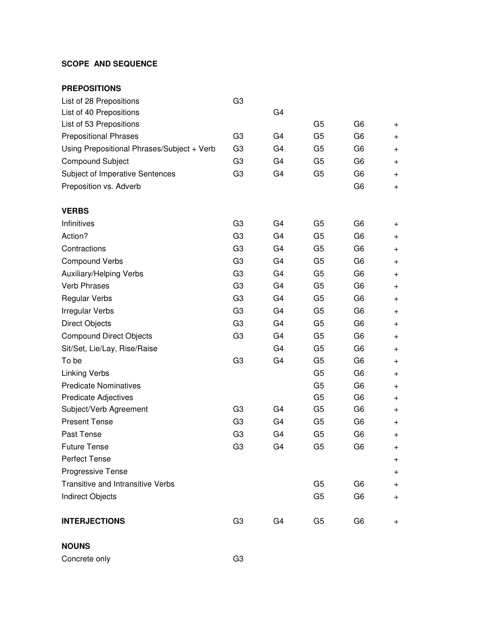## **SCOPE AND SEQUENCE**

| <b>PREPOSITIONS</b>                        |                |                |                |                |           |
|--------------------------------------------|----------------|----------------|----------------|----------------|-----------|
| List of 28 Prepositions                    | G <sub>3</sub> |                |                |                |           |
| List of 40 Prepositions                    |                | G <sub>4</sub> |                |                |           |
| List of 53 Prepositions                    |                |                | G <sub>5</sub> | G <sub>6</sub> | $\pm$     |
| <b>Prepositional Phrases</b>               | G <sub>3</sub> | G <sub>4</sub> | G <sub>5</sub> | G <sub>6</sub> | $\ddot{}$ |
| Using Prepositional Phrases/Subject + Verb | G <sub>3</sub> | G <sub>4</sub> | G <sub>5</sub> | G <sub>6</sub> | $\pm$     |
| <b>Compound Subject</b>                    | G <sub>3</sub> | G <sub>4</sub> | G <sub>5</sub> | G <sub>6</sub> | $\pm$     |
| Subject of Imperative Sentences            | G <sub>3</sub> | G <sub>4</sub> | G <sub>5</sub> | G <sub>6</sub> | $\pm$     |
| Preposition vs. Adverb                     |                |                |                | G <sub>6</sub> | $\pm$     |
| <b>VERBS</b>                               |                |                |                |                |           |
| Infinitives                                | G <sub>3</sub> | G <sub>4</sub> | G <sub>5</sub> | G <sub>6</sub> | $\pm$     |
| Action?                                    | G <sub>3</sub> | G <sub>4</sub> | G <sub>5</sub> | G <sub>6</sub> | $\pm$     |
| Contractions                               | G <sub>3</sub> | G <sub>4</sub> | G <sub>5</sub> | G <sub>6</sub> | $\pm$     |
| <b>Compound Verbs</b>                      | G <sub>3</sub> | G <sub>4</sub> | G <sub>5</sub> | G <sub>6</sub> | $\pm$     |
| Auxiliary/Helping Verbs                    | G <sub>3</sub> | G <sub>4</sub> | G <sub>5</sub> | G <sub>6</sub> | $\pm$     |
| <b>Verb Phrases</b>                        | G <sub>3</sub> | G <sub>4</sub> | G <sub>5</sub> | G <sub>6</sub> | $\ddot{}$ |
| <b>Regular Verbs</b>                       | G <sub>3</sub> | G4             | G <sub>5</sub> | G <sub>6</sub> | $\pmb{+}$ |
| Irregular Verbs                            | G <sub>3</sub> | G <sub>4</sub> | G <sub>5</sub> | G <sub>6</sub> | $\pm$     |
| <b>Direct Objects</b>                      | G <sub>3</sub> | G <sub>4</sub> | G <sub>5</sub> | G <sub>6</sub> | $\pm$     |
| <b>Compound Direct Objects</b>             | G <sub>3</sub> | G <sub>4</sub> | G <sub>5</sub> | G <sub>6</sub> | $\pm$     |
| Sit/Set, Lie/Lay, Rise/Raise               |                | G <sub>4</sub> | G <sub>5</sub> | G <sub>6</sub> | $\pm$     |
| To be                                      | G <sub>3</sub> | G <sub>4</sub> | G <sub>5</sub> | G <sub>6</sub> | $\pm$     |
| <b>Linking Verbs</b>                       |                |                | G <sub>5</sub> | G <sub>6</sub> | $\pm$     |
| <b>Predicate Nominatives</b>               |                |                | G <sub>5</sub> | G <sub>6</sub> | $\pm$     |
| Predicate Adjectives                       |                |                | G <sub>5</sub> | G <sub>6</sub> | $\pm$     |
| Subject/Verb Agreement                     | G <sub>3</sub> | G <sub>4</sub> | G <sub>5</sub> | G <sub>6</sub> | $\pm$     |
| <b>Present Tense</b>                       | G <sub>3</sub> | G <sub>4</sub> | G <sub>5</sub> | G <sub>6</sub> | $\pm$     |
| Past Tense                                 | G <sub>3</sub> | G <sub>4</sub> | G <sub>5</sub> | G <sub>6</sub> | $\ddag$   |
| <b>Future Tense</b>                        | G <sub>3</sub> | G <sub>4</sub> | G <sub>5</sub> | G <sub>6</sub> | $\pmb{+}$ |
| <b>Perfect Tense</b>                       |                |                |                |                | $\pmb{+}$ |
| Progressive Tense                          |                |                |                |                | $\pm$     |
| Transitive and Intransitive Verbs          |                |                | G <sub>5</sub> | G <sub>6</sub> | $\pm$     |
| Indirect Objects                           |                |                | G <sub>5</sub> | G <sub>6</sub> | $\pm$     |
| <b>INTERJECTIONS</b>                       | G <sub>3</sub> | G4             | G <sub>5</sub> | G <sub>6</sub> | $\pmb{+}$ |

**NOUNS**

Concrete only G3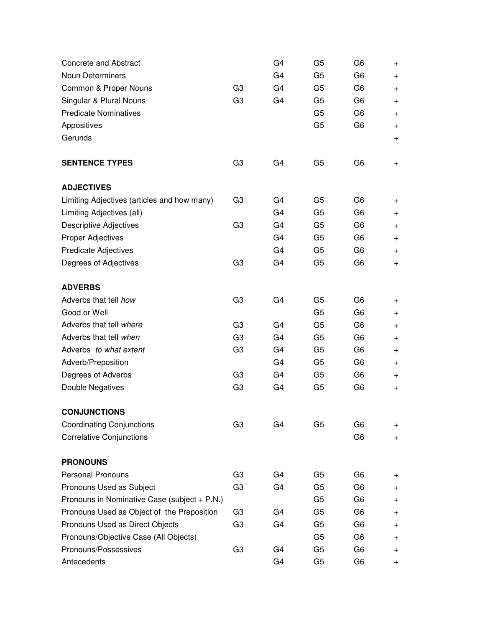| <b>Concrete and Abstract</b>                 |                | G <sub>4</sub> | G <sub>5</sub> | G <sub>6</sub> | $\pm$     |
|----------------------------------------------|----------------|----------------|----------------|----------------|-----------|
| Noun Determiners                             |                | G <sub>4</sub> | G <sub>5</sub> | G <sub>6</sub> | $\pm$     |
| Common & Proper Nouns                        | G <sub>3</sub> | G <sub>4</sub> | G <sub>5</sub> | G <sub>6</sub> | $\ddot{}$ |
| Singular & Plural Nouns                      | G <sub>3</sub> | G <sub>4</sub> | G <sub>5</sub> | G <sub>6</sub> | $+$       |
| <b>Predicate Nominatives</b>                 |                |                | G <sub>5</sub> | G <sub>6</sub> | $\pm$     |
| Appositives                                  |                |                | G <sub>5</sub> | G <sub>6</sub> | $\pm$     |
| Gerunds                                      |                |                |                |                | $+$       |
| <b>SENTENCE TYPES</b>                        | G <sub>3</sub> | G <sub>4</sub> | G <sub>5</sub> | G6             | $\ddot{}$ |
| <b>ADJECTIVES</b>                            |                |                |                |                |           |
| Limiting Adjectives (articles and how many)  | G <sub>3</sub> | G <sub>4</sub> | G <sub>5</sub> | G <sub>6</sub> | $\pm$     |
| Limiting Adjectives (all)                    |                | G <sub>4</sub> | G <sub>5</sub> | G <sub>6</sub> | $\pm$     |
| <b>Descriptive Adjectives</b>                | G <sub>3</sub> | G <sub>4</sub> | G <sub>5</sub> | G <sub>6</sub> | $\pm$     |
| Proper Adjectives                            |                | G <sub>4</sub> | G <sub>5</sub> | G <sub>6</sub> | $\ddot{}$ |
| <b>Predicate Adjectives</b>                  |                | G <sub>4</sub> | G <sub>5</sub> | G <sub>6</sub> | $^{+}$    |
| Degrees of Adjectives                        | G <sub>3</sub> | G <sub>4</sub> | G <sub>5</sub> | G <sub>6</sub> | $+$       |
| <b>ADVERBS</b>                               |                |                |                |                |           |
| Adverbs that tell how                        | G <sub>3</sub> | G <sub>4</sub> | G <sub>5</sub> | G <sub>6</sub> | $\pm$     |
| Good or Well                                 |                |                | G <sub>5</sub> | G <sub>6</sub> | $\pm$     |
| Adverbs that tell where                      | G <sub>3</sub> | G <sub>4</sub> | G <sub>5</sub> | G <sub>6</sub> | $\pm$     |
| Adverbs that tell when                       | G <sub>3</sub> | G4             | G <sub>5</sub> | G <sub>6</sub> | $\pm$     |
| Adverbs to what extent                       | G <sub>3</sub> | G <sub>4</sub> | G <sub>5</sub> | G <sub>6</sub> | $\pm$     |
| Adverb/Preposition                           |                | G <sub>4</sub> | G <sub>5</sub> | G <sub>6</sub> | $\pm$     |
| Degrees of Adverbs                           | G <sub>3</sub> | G <sub>4</sub> | G <sub>5</sub> | G <sub>6</sub> | $\pm$     |
| Double Negatives                             | G <sub>3</sub> | G <sub>4</sub> | G <sub>5</sub> | G <sub>6</sub> | $\pm$     |
| <b>CONJUNCTIONS</b>                          |                |                |                |                |           |
| <b>Coordinating Conjunctions</b>             | G <sub>3</sub> | G <sub>4</sub> | G <sub>5</sub> | G <sub>6</sub> | $^+$      |
| <b>Correlative Conjunctions</b>              |                |                |                | G <sub>6</sub> | $+$       |
| <b>PRONOUNS</b>                              |                |                |                |                |           |
| <b>Personal Pronouns</b>                     | G <sub>3</sub> | G <sub>4</sub> | G <sub>5</sub> | G <sub>6</sub> | +         |
| Pronouns Used as Subject                     | G <sub>3</sub> | G <sub>4</sub> | G <sub>5</sub> | G <sub>6</sub> | $^+$      |
| Pronouns in Nominative Case (subject + P.N.) |                |                | G <sub>5</sub> | G <sub>6</sub> | $^{+}$    |
| Pronouns Used as Object of the Preposition   | G <sub>3</sub> | G <sub>4</sub> | G <sub>5</sub> | G <sub>6</sub> | $\ddot{}$ |
| Pronouns Used as Direct Objects              | G <sub>3</sub> | G <sub>4</sub> | G <sub>5</sub> | G <sub>6</sub> | $\pm$     |
| Pronouns/Objective Case (All Objects)        |                |                | G <sub>5</sub> | G <sub>6</sub> | $\pm$     |
| Pronouns/Possessives                         | G <sub>3</sub> | G <sub>4</sub> | G <sub>5</sub> | G <sub>6</sub> | $\pm$     |
| Antecedents                                  |                | G <sub>4</sub> | G <sub>5</sub> | G <sub>6</sub> | $^+$      |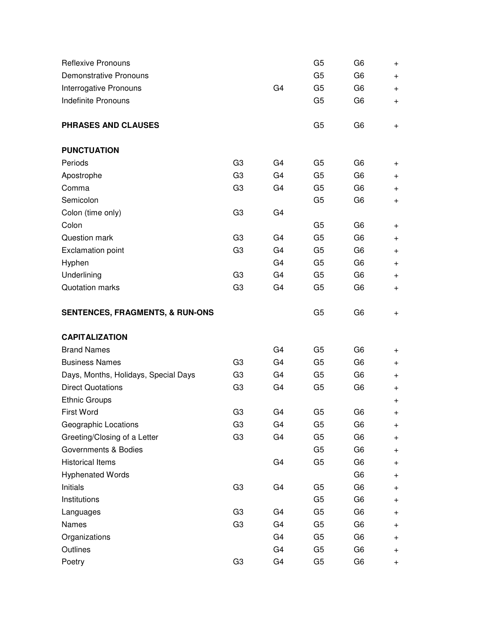| <b>Reflexive Pronouns</b>                  |                |                | G <sub>5</sub> | G <sub>6</sub> | $\ddot{}$ |
|--------------------------------------------|----------------|----------------|----------------|----------------|-----------|
| <b>Demonstrative Pronouns</b>              |                |                | G <sub>5</sub> | G <sub>6</sub> | $\pm$     |
| Interrogative Pronouns                     |                | G <sub>4</sub> | G <sub>5</sub> | G <sub>6</sub> | $+$       |
| <b>Indefinite Pronouns</b>                 |                |                | G <sub>5</sub> | G <sub>6</sub> | $\pm$     |
| PHRASES AND CLAUSES                        |                |                | G <sub>5</sub> | G <sub>6</sub> | $\ddot{}$ |
| <b>PUNCTUATION</b>                         |                |                |                |                |           |
| Periods                                    | G <sub>3</sub> | G <sub>4</sub> | G <sub>5</sub> | G <sub>6</sub> | $\ddot{}$ |
| Apostrophe                                 | G <sub>3</sub> | G <sub>4</sub> | G <sub>5</sub> | G <sub>6</sub> | $\pm$     |
| Comma                                      | G <sub>3</sub> | G <sub>4</sub> | G <sub>5</sub> | G <sub>6</sub> | $+$       |
| Semicolon                                  |                |                | G <sub>5</sub> | G <sub>6</sub> | $\ddot{}$ |
| Colon (time only)                          | G <sub>3</sub> | G <sub>4</sub> |                |                |           |
| Colon                                      |                |                | G <sub>5</sub> | G <sub>6</sub> | $\ddot{}$ |
| Question mark                              | G <sub>3</sub> | G4             | G <sub>5</sub> | G <sub>6</sub> | $\ddot{}$ |
| <b>Exclamation point</b>                   | G <sub>3</sub> | G <sub>4</sub> | G <sub>5</sub> | G <sub>6</sub> | $\ddot{}$ |
| Hyphen                                     |                | G <sub>4</sub> | G <sub>5</sub> | G <sub>6</sub> | $\ddot{}$ |
| Underlining                                | G <sub>3</sub> | G <sub>4</sub> | G <sub>5</sub> | G <sub>6</sub> | $\ddot{}$ |
| Quotation marks                            | G <sub>3</sub> | G <sub>4</sub> | G <sub>5</sub> | G <sub>6</sub> | $\pm$     |
| <b>SENTENCES, FRAGMENTS, &amp; RUN-ONS</b> |                |                | G <sub>5</sub> | G <sub>6</sub> | $\pm$     |
| <b>CAPITALIZATION</b>                      |                |                |                |                |           |
| <b>Brand Names</b>                         |                | G <sub>4</sub> | G <sub>5</sub> | G <sub>6</sub> | $\pm$     |
| <b>Business Names</b>                      | G <sub>3</sub> | G <sub>4</sub> | G <sub>5</sub> | G <sub>6</sub> | $\ddot{}$ |
| Days, Months, Holidays, Special Days       | G <sub>3</sub> | G <sub>4</sub> | G <sub>5</sub> | G <sub>6</sub> | $\pm$     |
| <b>Direct Quotations</b>                   | G <sub>3</sub> | G <sub>4</sub> | G <sub>5</sub> | G <sub>6</sub> | $\pm$     |
| <b>Ethnic Groups</b>                       |                |                |                |                | $\ddot{}$ |
| First Word                                 | G <sub>3</sub> | G4             | G <sub>5</sub> | G <sub>6</sub> | +         |
| Geographic Locations                       | G <sub>3</sub> | G4             | G <sub>5</sub> | G <sub>6</sub> | $\pm$     |
| Greeting/Closing of a Letter               | G <sub>3</sub> | G4             | G <sub>5</sub> | G <sub>6</sub> | $\pm$     |
| Governments & Bodies                       |                |                | G <sub>5</sub> | G <sub>6</sub> | $\pm$     |
| <b>Historical Items</b>                    |                | G4             | G <sub>5</sub> | G <sub>6</sub> | $\pm$     |
| <b>Hyphenated Words</b>                    |                |                |                | G <sub>6</sub> | $^+$      |
| Initials                                   | G <sub>3</sub> | G4             | G <sub>5</sub> | G <sub>6</sub> | $\pm$     |
| Institutions                               |                |                | G <sub>5</sub> | G <sub>6</sub> | $\ddot{}$ |
| Languages                                  | G <sub>3</sub> | G4             | G <sub>5</sub> | G <sub>6</sub> | $\pm$     |
| Names                                      | G <sub>3</sub> | G4             | G <sub>5</sub> | G <sub>6</sub> | $^+$      |
| Organizations                              |                | G4             | G <sub>5</sub> | G <sub>6</sub> | $\ddot{}$ |
| Outlines                                   |                | G4             | G <sub>5</sub> | G <sub>6</sub> | $^+$      |
| Poetry                                     | G <sub>3</sub> | G4             | G <sub>5</sub> | G <sub>6</sub> | $\pm$     |